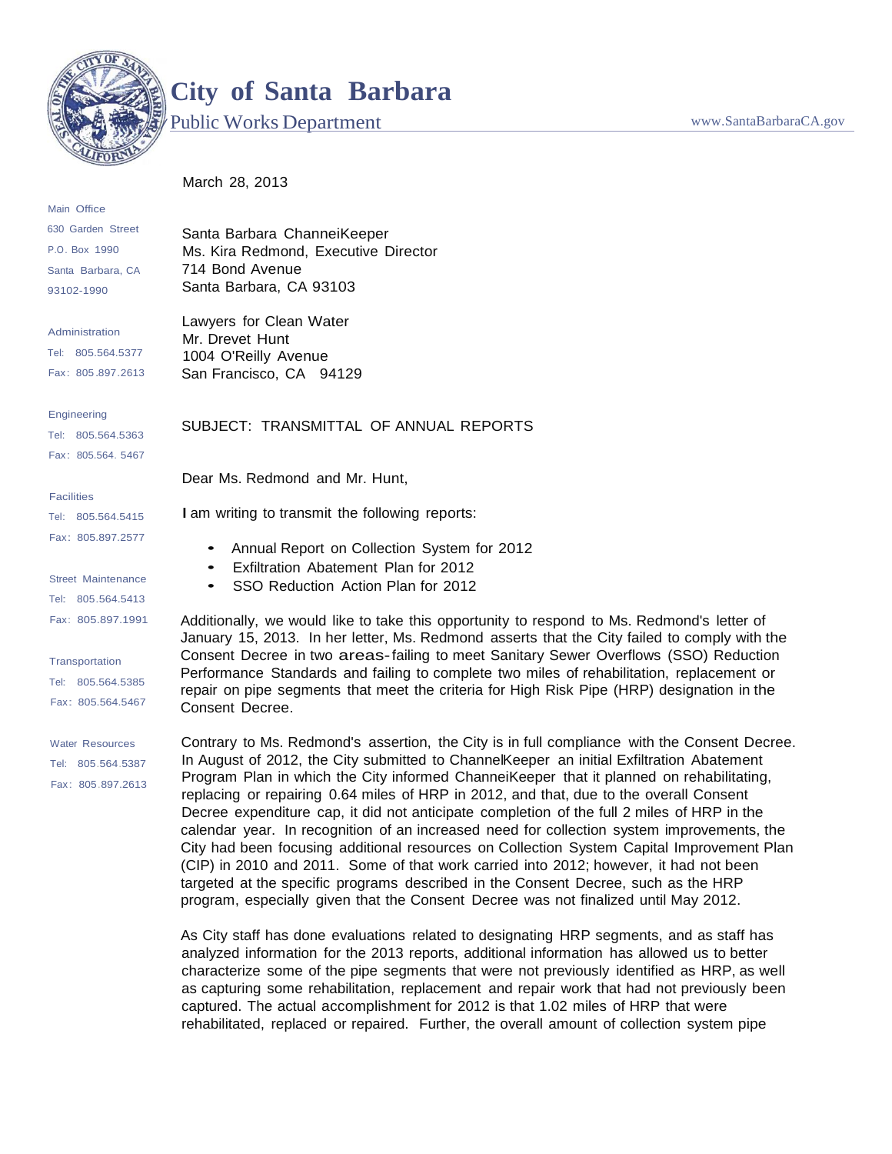

Main Office 630 Garden Street P.O. Box 1990 Santa Barbara, CA 93102-1990

## **City of Santa Barbara**

Public Works Department Weiller Works Department

March 28, 2013

Santa Barbara ChanneiKeeper Ms. Kira Redmond, Executive Director 714 Bond Avenue Santa Barbara, CA 93103

Administration Tel: 805.564.5377 Fax: 805.897.2613

Engineering Tel: 805.564.5363 Fax: 805.564. 5467

**Facilities** 

Tel: 805.564.5415 Fax: 805.897.2577

Street Maintenance Tel: 805.564.5413 Fax: 805.897.1991

**Transportation** 

Tel: 805.564.5385 Fax: 805.564.5467

Water Resources Tel: 805.564.5387 Fax: 805.897.2613

Lawyers for Clean Water Mr. Drevet Hunt 1004 O'Reilly Avenue San Francisco, CA 94129

SUBJECT: TRANSMITTAL OF ANNUAL REPORTS

Dear Ms. Redmond and Mr. Hunt,

I am writing to transmit the following reports:

- Annual Report on Collection System for <sup>2012</sup>
- Exfiltration Abatement Plan for <sup>2012</sup>
- SSO Reduction Action Plan for <sup>2012</sup>

Additionally, we would like to take this opportunity to respond to Ms. Redmond's letter of January 15, 2013. In her letter, Ms. Redmond asserts that the City failed to comply with the Consent Decree in two areas-failing to meet Sanitary Sewer Overflows (SSO) Reduction Performance Standards and failing to complete two miles of rehabilitation, replacement or repair on pipe segments that meet the criteria for High Risk Pipe (HRP) designation in the Consent Decree.

Contrary to Ms. Redmond's assertion, the City is in full compliance with the Consent Decree. In August of 2012, the City submitted to ChannelKeeper an initial Exfiltration Abatement Program Plan in which the City informed ChanneiKeeper that it planned on rehabilitating, replacing or repairing 0.64 miles of HRP in 2012, and that, due to the overall Consent Decree expenditure cap, it did not anticipate completion of the full 2 miles of HRP in the calendar year. In recognition of an increased need for collection system improvements, the City had been focusing additional resources on Collection System Capital Improvement Plan (CIP) in 2010 and 2011. Some of that work carried into 2012; however, it had not been targeted at the specific programs described in the Consent Decree, such as the HRP program, especially given that the Consent Decree was not finalized until May 2012.

As City staff has done evaluations related to designating HRP segments, and as staff has analyzed information for the 2013 reports, additional information has allowed us to better characterize some of the pipe segments that were not previously identified as HRP, as well as capturing some rehabilitation, replacement and repair work that had not previously been captured. The actual accomplishment for 2012 is that 1.02 miles of HRP that were rehabilitated, replaced or repaired. Further, the overall amount of collection system pipe